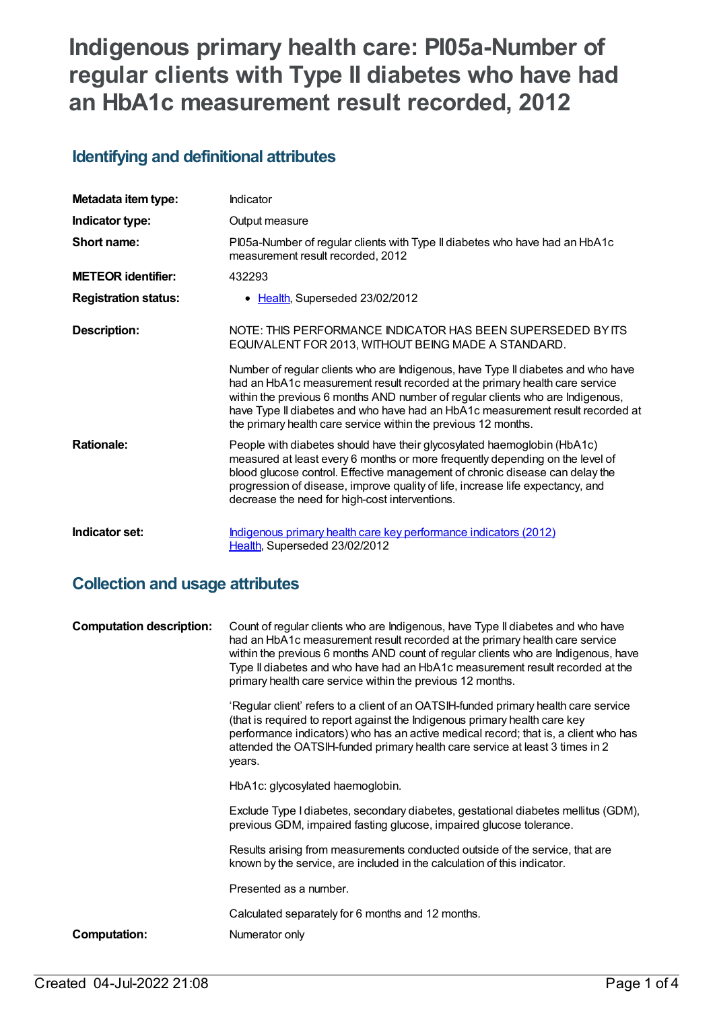# **Indigenous primary health care: PI05a-Number of regular clients with Type II diabetes who have had an HbA1c measurement result recorded, 2012**

### **Identifying and definitional attributes**

| Metadata item type:         | Indicator                                                                                                                                                                                                                                                                                                                                                                                             |
|-----------------------------|-------------------------------------------------------------------------------------------------------------------------------------------------------------------------------------------------------------------------------------------------------------------------------------------------------------------------------------------------------------------------------------------------------|
| Indicator type:             | Output measure                                                                                                                                                                                                                                                                                                                                                                                        |
| Short name:                 | PI05a-Number of regular clients with Type II diabetes who have had an HbA1c<br>measurement result recorded, 2012                                                                                                                                                                                                                                                                                      |
| <b>METEOR identifier:</b>   | 432293                                                                                                                                                                                                                                                                                                                                                                                                |
| <b>Registration status:</b> | • Health, Superseded 23/02/2012                                                                                                                                                                                                                                                                                                                                                                       |
| Description:                | NOTE: THIS PERFORMANCE INDICATOR HAS BEEN SUPERSEDED BY ITS<br>EQUIVALENT FOR 2013, WITHOUT BEING MADE A STANDARD.                                                                                                                                                                                                                                                                                    |
|                             | Number of regular clients who are Indigenous, have Type II diabetes and who have<br>had an HbA1c measurement result recorded at the primary health care service<br>within the previous 6 months AND number of regular clients who are Indigenous,<br>have Type II diabetes and who have had an HbA1c measurement result recorded at<br>the primary health care service within the previous 12 months. |
| <b>Rationale:</b>           | People with diabetes should have their glycosylated haemoglobin (HbA1c)<br>measured at least every 6 months or more frequently depending on the level of<br>blood glucose control. Effective management of chronic disease can delay the<br>progression of disease, improve quality of life, increase life expectancy, and<br>decrease the need for high-cost interventions.                          |
| Indicator set:              | Indigenous primary health care key performance indicators (2012)<br>Health, Superseded 23/02/2012                                                                                                                                                                                                                                                                                                     |

#### **Collection and usage attributes**

| <b>Computation description:</b> | Count of regular clients who are Indigenous, have Type II diabetes and who have<br>had an HbA1c measurement result recorded at the primary health care service<br>within the previous 6 months AND count of regular clients who are Indigenous, have<br>Type II diabetes and who have had an HbA1c measurement result recorded at the<br>primary health care service within the previous 12 months. |
|---------------------------------|-----------------------------------------------------------------------------------------------------------------------------------------------------------------------------------------------------------------------------------------------------------------------------------------------------------------------------------------------------------------------------------------------------|
|                                 | 'Regular client' refers to a client of an OATSIH-funded primary health care service<br>(that is required to report against the Indigenous primary health care key<br>performance indicators) who has an active medical record; that is, a client who has<br>attended the OATSIH-funded primary health care service at least 3 times in 2<br>years.                                                  |
|                                 | HbA1c: glycosylated haemoglobin.                                                                                                                                                                                                                                                                                                                                                                    |
|                                 | Exclude Type I diabetes, secondary diabetes, gestational diabetes mellitus (GDM),<br>previous GDM, impaired fasting glucose, impaired glucose tolerance.                                                                                                                                                                                                                                            |
|                                 | Results arising from measurements conducted outside of the service, that are<br>known by the service, are included in the calculation of this indicator.                                                                                                                                                                                                                                            |
|                                 | Presented as a number.                                                                                                                                                                                                                                                                                                                                                                              |
|                                 | Calculated separately for 6 months and 12 months.                                                                                                                                                                                                                                                                                                                                                   |
| <b>Computation:</b>             | Numerator only                                                                                                                                                                                                                                                                                                                                                                                      |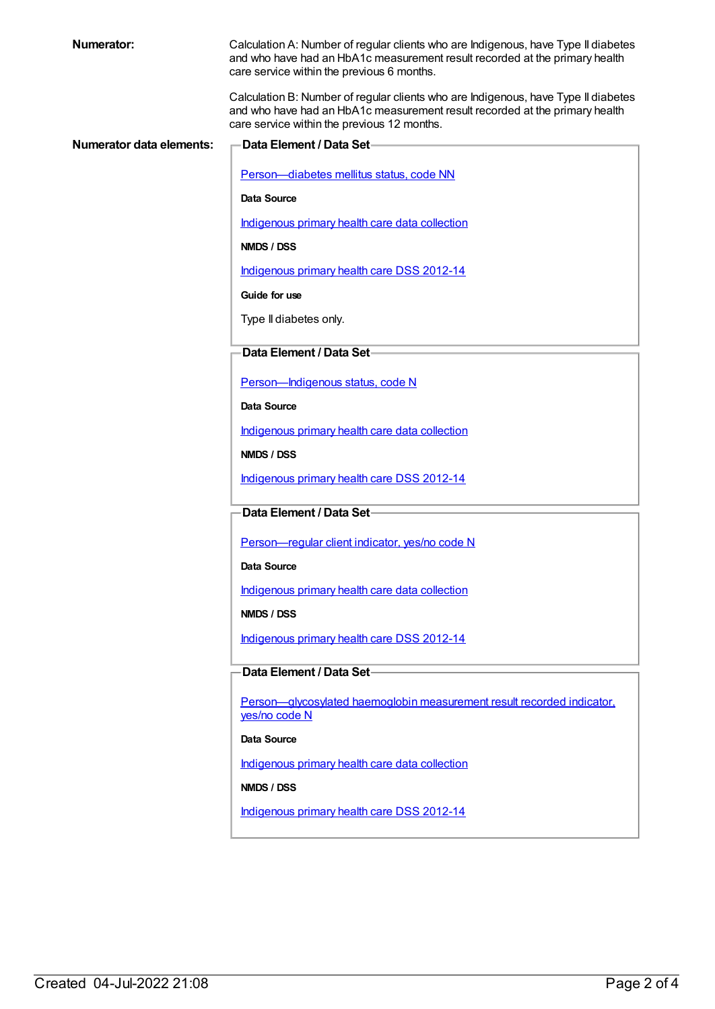| <b>Numerator:</b>               | Calculation A: Number of regular clients who are Indigenous, have Type II diabetes<br>and who have had an HbA1c measurement result recorded at the primary health                                                |
|---------------------------------|------------------------------------------------------------------------------------------------------------------------------------------------------------------------------------------------------------------|
|                                 | care service within the previous 6 months.                                                                                                                                                                       |
|                                 | Calculation B: Number of regular clients who are Indigenous, have Type II diabetes<br>and who have had an HbA1c measurement result recorded at the primary health<br>care service within the previous 12 months. |
| <b>Numerator data elements:</b> | Data Element / Data Set-                                                                                                                                                                                         |
|                                 | Person-diabetes mellitus status, code NN                                                                                                                                                                         |
|                                 | Data Source                                                                                                                                                                                                      |
|                                 | Indigenous primary health care data collection                                                                                                                                                                   |
|                                 | NMDS / DSS                                                                                                                                                                                                       |
|                                 | Indigenous primary health care DSS 2012-14                                                                                                                                                                       |
|                                 | Guide for use                                                                                                                                                                                                    |
|                                 | Type II diabetes only.                                                                                                                                                                                           |
|                                 |                                                                                                                                                                                                                  |
|                                 | Data Element / Data Set-                                                                                                                                                                                         |
|                                 | Person-Indigenous status, code N                                                                                                                                                                                 |
|                                 | Data Source                                                                                                                                                                                                      |
|                                 | Indigenous primary health care data collection                                                                                                                                                                   |
|                                 | NMDS / DSS                                                                                                                                                                                                       |
|                                 | Indigenous primary health care DSS 2012-14                                                                                                                                                                       |
|                                 | Data Element / Data Set-                                                                                                                                                                                         |
|                                 |                                                                                                                                                                                                                  |
|                                 | Person-regular client indicator, yes/no code N                                                                                                                                                                   |
|                                 | Data Source                                                                                                                                                                                                      |
|                                 | Indigenous primary health care data collection                                                                                                                                                                   |
|                                 | NMDS / DSS                                                                                                                                                                                                       |
|                                 | Indigenous primary health care DSS 2012-14                                                                                                                                                                       |
|                                 | Data Element / Data Set-                                                                                                                                                                                         |
|                                 | Person-glycosylated haemoglobin measurement result recorded indicator.                                                                                                                                           |
|                                 | yes/no code N                                                                                                                                                                                                    |
|                                 | Data Source                                                                                                                                                                                                      |
|                                 | Indigenous primary health care data collection                                                                                                                                                                   |
|                                 | NMDS / DSS                                                                                                                                                                                                       |
|                                 | Indigenous primary health care DSS 2012-14                                                                                                                                                                       |
|                                 |                                                                                                                                                                                                                  |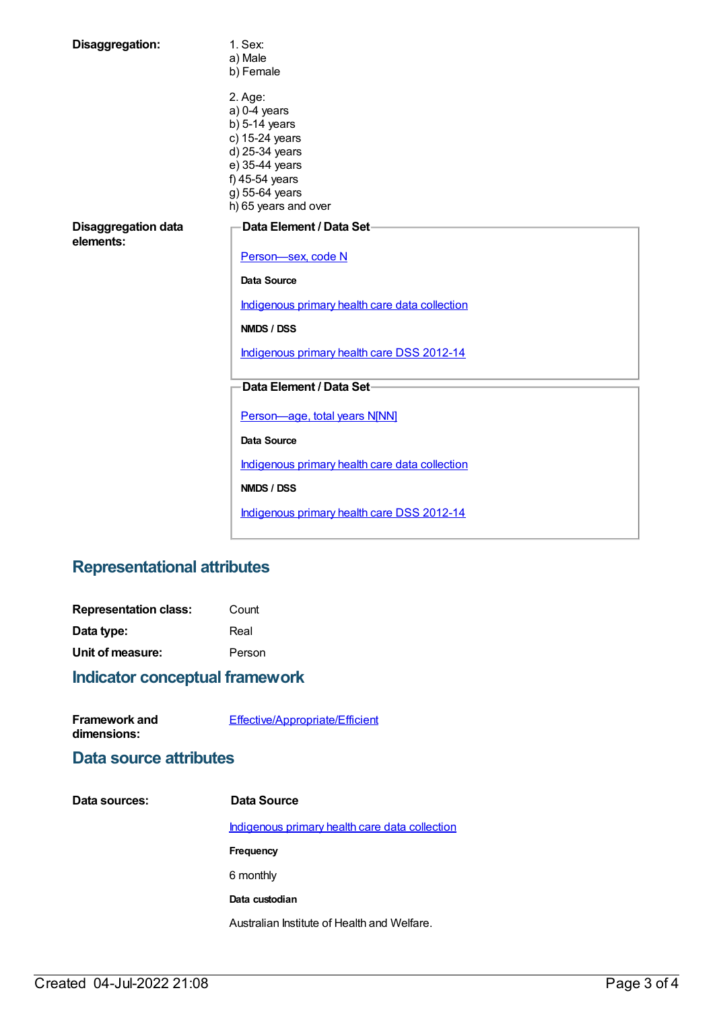| Disaggregation:                         | 1. Sex:<br>a) Male<br>b) Female                                                                                                                                |
|-----------------------------------------|----------------------------------------------------------------------------------------------------------------------------------------------------------------|
|                                         | 2. Age:<br>$a) 0-4$ years<br>$b)$ 5-14 years<br>c) 15-24 years<br>d) 25-34 years<br>e) 35-44 years<br>f) 45-54 years<br>g) 55-64 years<br>h) 65 years and over |
| <b>Disaggregation data</b><br>elements: | Data Element / Data Set-<br>Person-sex, code N                                                                                                                 |
|                                         |                                                                                                                                                                |
|                                         | <b>Data Source</b>                                                                                                                                             |
|                                         | Indigenous primary health care data collection                                                                                                                 |
|                                         | NMDS / DSS                                                                                                                                                     |
|                                         | Indigenous primary health care DSS 2012-14                                                                                                                     |
|                                         | Data Element / Data Set-                                                                                                                                       |
|                                         | Person-age, total years N[NN]<br><b>Data Source</b>                                                                                                            |
|                                         | Indigenous primary health care data collection                                                                                                                 |
|                                         | NMDS / DSS                                                                                                                                                     |
|                                         | Indigenous primary health care DSS 2012-14                                                                                                                     |

## **Representational attributes**

| <b>Representation class:</b> | Count  |
|------------------------------|--------|
| Data type:                   | Real   |
| Unit of measure:             | Person |

## **Indicator conceptual framework**

| <b>Framework and</b> | Effective/Appropriate/Efficient |
|----------------------|---------------------------------|
| dimensions:          |                                 |

### **Data source attributes**

| Data sources: | Data Source                                    |
|---------------|------------------------------------------------|
|               | Indigenous primary health care data collection |
|               | Frequency                                      |
|               | 6 monthly                                      |
|               | Data custodian                                 |
|               | Australian Institute of Health and Welfare.    |